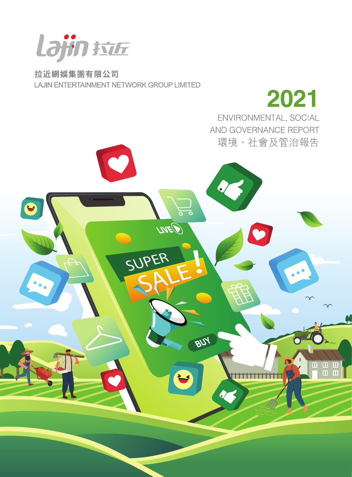

拉近網娛集團有限公司 LAJIN ENTERTAINMENT NETWORK GROUP LIMITED

 $\bullet$ 

2021 ENVIRONMENTAL, SOCIAL AND GOVERNANCE REPORT 環境、社會及管治報告

<del>iiiiiiiiiiiii</del>i

田田田

冒

 $\bullet$ 

ಕಾ

**PUY** 

LIVED

SUPER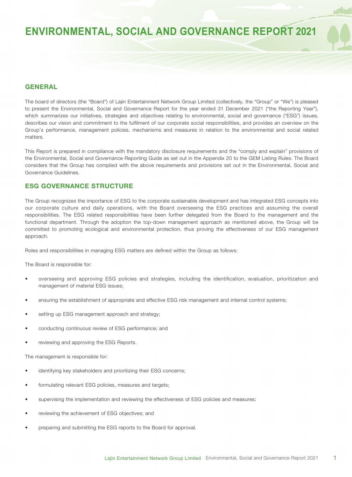### **GENERAL**

The board of directors (the "Board") of Lajin Entertainment Network Group Limited (collectively, the "Group" or "We") is pleased to present the Environmental, Social and Governance Report for the year ended 31 December 2021 ("the Reporting Year"), which summarizes our initiatives, strategies and objectives relating to environmental, social and governance ("ESG") issues, describes our vision and commitment to the fulfilment of our corporate social responsibilities, and provides an overview on the Group's performance, management policies, mechanisms and measures in relation to the environmental and social related matters.

This Report is prepared in compliance with the mandatory disclosure requirements and the "comply and explain" provisions of the Environmental, Social and Governance Reporting Guide as set out in the Appendix 20 to the GEM Listing Rules. The Board considers that the Group has complied with the above requirements and provisions set out in the Environmental, Social and Governance Guidelines.

### **ESG GOVERNANCE STRUCTURE**

The Group recognizes the importance of ESG to the corporate sustainable development and has integrated ESG concepts into our corporate culture and daily operations, with the Board overseeing the ESG practices and assuming the overall responsibilities. The ESG related responsibilities have been further delegated from the Board to the management and the functional department. Through the adoption the top-down management approach as mentioned above, the Group will be committed to promoting ecological and environmental protection, thus proving the effectiveness of our ESG management approach.

Roles and responsibilities in managing ESG matters are defined within the Group as follows:

The Board is responsible for:

- overseeing and approving ESG policies and strategies, including the identification, evaluation, prioritization and management of material ESG issues;
- ensuring the establishment of appropriate and effective ESG risk management and internal control systems;
- setting up ESG management approach and strategy;
- conducting continuous review of ESG performance; and
- reviewing and approving the ESG Reports.

The management is responsible for:

- identifying key stakeholders and prioritizing their ESG concerns;
- formulating relevant ESG policies, measures and targets;
- supervising the implementation and reviewing the effectiveness of ESG policies and measures;
- reviewing the achievement of ESG objectives; and
- preparing and submitting the ESG reports to the Board for approval.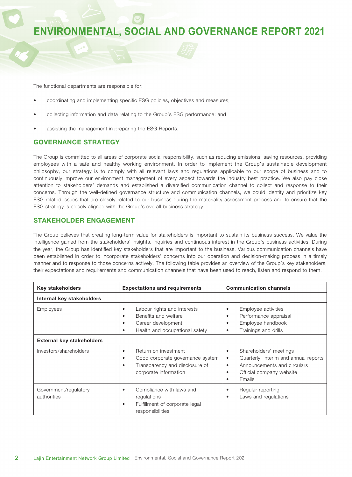The functional departments are responsible for:

- coordinating and implementing specific ESG policies, objectives and measures;
- collecting information and data relating to the Group's ESG performance; and
- assisting the management in preparing the ESG Reports.

### **GOVERNANCE STRATEGY**

The Group is committed to all areas of corporate social responsibility, such as reducing emissions, saving resources, providing employees with a safe and healthy working environment. In order to implement the Group's sustainable development philosophy, our strategy is to comply with all relevant laws and regulations applicable to our scope of business and to continuously improve our environment management of every aspect towards the industry best practice. We also pay close attention to stakeholders' demands and established a diversified communication channel to collect and response to their concerns. Through the well-defined governance structure and communication channels, we could identify and prioritize key ESG related-issues that are closely related to our business during the materiality assessment process and to ensure that the ESG strategy is closely aligned with the Group's overall business strategy.

### **STAKEHOLDER ENGAGEMENT**

The Group believes that creating long-term value for stakeholders is important to sustain its business success. We value the intelligence gained from the stakeholders' insights, inquiries and continuous interest in the Group's business activities. During the year, the Group has identified key stakeholders that are important to the business. Various communication channels have been established in order to incorporate stakeholders' concerns into our operation and decision-making process in a timely manner and to response to those concerns actively. The following table provides an overview of the Group's key stakeholders, their expectations and requirements and communication channels that have been used to reach, listen and respond to them.

| <b>Key stakeholders</b>                       | <b>Expectations and requirements</b>                                                                                            | <b>Communication channels</b>                                                                                                                                                                         |  |
|-----------------------------------------------|---------------------------------------------------------------------------------------------------------------------------------|-------------------------------------------------------------------------------------------------------------------------------------------------------------------------------------------------------|--|
| Internal key stakeholders                     |                                                                                                                                 |                                                                                                                                                                                                       |  |
| Employees<br><b>External key stakeholders</b> | Labour rights and interests<br>٠<br>Benefits and welfare<br>٠<br>Career development<br>٠<br>Health and occupational safety<br>٠ | Employee activities<br>$\bullet$<br>Performance appraisal<br>$\bullet$<br>Employee handbook<br>$\bullet$<br>Trainings and drills<br>$\bullet$                                                         |  |
| Investors/shareholders                        | Return on investment<br>٠<br>Good corporate governance system<br>٠<br>Transparency and disclosure of<br>corporate information   | Shareholders' meetings<br>$\bullet$<br>Quarterly, interim and annual reports<br>$\bullet$<br>Announcements and circulars<br>$\bullet$<br>Official company website<br>$\bullet$<br>Emails<br>$\bullet$ |  |
| Government/regulatory<br>authorities          | Compliance with laws and<br>٠<br>regulations<br>Fulfillment of corporate legal<br>٠<br>responsibilities                         | Regular reporting<br>$\bullet$<br>Laws and regulations<br>$\bullet$                                                                                                                                   |  |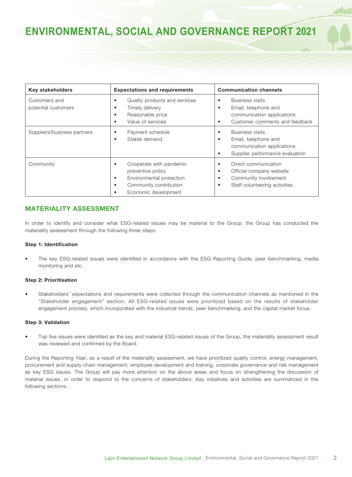| <b>Key stakeholders</b>              | <b>Expectations and requirements</b>                                                                                                 | <b>Communication channels</b>                                                                                                                          |  |
|--------------------------------------|--------------------------------------------------------------------------------------------------------------------------------------|--------------------------------------------------------------------------------------------------------------------------------------------------------|--|
| Customers and<br>potential customers | Quality products and services<br>Timely delivery<br>٠<br>Reasonable price<br>٠<br>Value of services                                  | <b>Business visits</b><br>$\bullet$<br>Email, telephone and<br>$\bullet$<br>communication applications<br>Customer comments and feedback<br>٠          |  |
| Suppliers/business partners          | Payment schedule<br>٠<br>Stable demand<br>٠                                                                                          | <b>Business visits</b><br>$\bullet$<br>Email, telephone and<br>$\bullet$<br>communication applications<br>Supplier performance evaluation<br>$\bullet$ |  |
| Community                            | Cooperate with pandemic<br>preventive policy<br>Environmental protection<br>٠<br>Community contribution<br>٠<br>Economic development | Direct communication<br>٠<br>Official company website<br>$\bullet$<br>Community involvement<br>٠<br>Staff volunteering activities<br>$\bullet$         |  |

### **MATERIALITY ASSESSMENT**

In order to identify and consider what ESG-related issues may be material to the Group, the Group has conducted the materiality assessment through the following three steps:

### **Step 1: Identification**

• The key ESG-related issues were identified in accordance with the ESG Reporting Guide, peer benchmarking, media monitoring and etc.

#### **Step 2: Prioritisation**

• Stakeholders' expectations and requirements were collected through the communication channels as mentioned in the "Stakeholder engagement" section. All ESG-related issues were prioritized based on the results of stakeholder engagement process, which incorporated with the industrial trends, peer benchmarking, and the capital market focus.

#### **Step 3: Validation**

• Top five issues were identified as the key and material ESG-related issues of the Group, the materiality assessment result was reviewed and confirmed by the Board.

During the Reporting Year, as a result of the materiality assessment, we have prioritized quality control, energy management, procurement and supply chain management, employee development and training, corporate governance and risk management as key ESG issues. The Group will pay more attention on the above areas and focus on strengthening the discussion of material issues, in order to respond to the concerns of stakeholders. Key initiatives and activities are summarized in the following sections.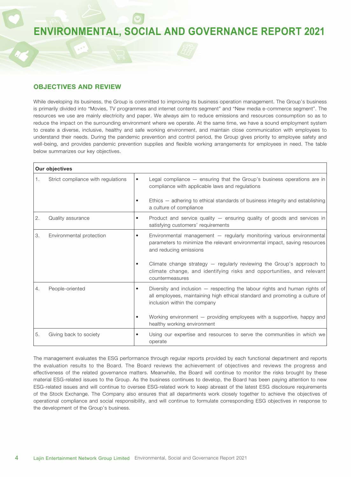### **OBJECTIVES AND REVIEW**

While developing its business, the Group is committed to improving its business operation management. The Group's business is primarily divided into "Movies, TV programmes and internet contents segment" and "New media e-commerce segment". The resources we use are mainly electricity and paper. We always aim to reduce emissions and resources consumption so as to reduce the impact on the surrounding environment where we operate. At the same time, we have a sound employment system to create a diverse, inclusive, healthy and safe working environment, and maintain close communication with employees to understand their needs. During the pandemic prevention and control period, the Group gives priority to employee safety and well-being, and provides pandemic prevention supplies and flexible working arrangements for employees in need. The table below summarizes our key objectives.

|    | <b>Our objectives</b>              |                                                                                                                                                                                                        |
|----|------------------------------------|--------------------------------------------------------------------------------------------------------------------------------------------------------------------------------------------------------|
| 1. | Strict compliance with regulations | Legal compliance - ensuring that the Group's business operations are in<br>$\bullet$<br>compliance with applicable laws and regulations                                                                |
|    |                                    | Ethics – adhering to ethical standards of business integrity and establishing<br>$\bullet$<br>a culture of compliance                                                                                  |
| 2. | Quality assurance                  | Product and service quality - ensuring quality of goods and services in<br>$\bullet$<br>satisfying customers' requirements                                                                             |
| 3. | Environmental protection           | Environmental management - regularly monitoring various environmental<br>$\bullet$<br>parameters to minimize the relevant environmental impact, saving resources<br>and reducing emissions             |
|    |                                    | Climate change strategy $-$ regularly reviewing the Group's approach to<br>$\bullet$<br>climate change, and identifying risks and opportunities, and relevant<br>countermeasures                       |
| 4. | People-oriented                    | Diversity and inclusion - respecting the labour rights and human rights of<br>$\bullet$<br>all employees, maintaining high ethical standard and promoting a culture of<br>inclusion within the company |
|    |                                    | Working environment - providing employees with a supportive, happy and<br>healthy working environment                                                                                                  |
| 5. | Giving back to society             | Using our expertise and resources to serve the communities in which we<br>$\bullet$<br>operate                                                                                                         |

The management evaluates the ESG performance through regular reports provided by each functional department and reports the evaluation results to the Board. The Board reviews the achievement of objectives and reviews the progress and effectiveness of the related governance matters. Meanwhile, the Board will continue to monitor the risks brought by these material ESG-related issues to the Group. As the business continues to develop, the Board has been paying attention to new ESG-related issues and will continue to oversee ESG-related work to keep abreast of the latest ESG disclosure requirements of the Stock Exchange. The Company also ensures that all departments work closely together to achieve the objectives of operational compliance and social responsibility, and will continue to formulate corresponding ESG objectives in response to the development of the Group's business.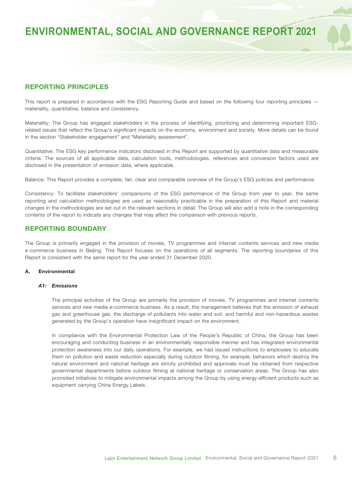### **REPORTING PRINCIPLES**

This report is prepared in accordance with the ESG Reporting Guide and based on the following four reporting principles – materiality, quantitative, balance and consistency.

Materiality: The Group has engaged stakeholders in the process of identifying, prioritizing and determining important ESGrelated issues that reflect the Group's significant impacts on the economy, environment and society. More details can be found in the section "Stakeholder engagement" and "Materiality assessment".

Quantitative: The ESG key performance indicators disclosed in this Report are supported by quantitative data and measurable criteria. The sources of all applicable data, calculation tools, methodologies, references and conversion factors used are disclosed in the presentation of emission data, where applicable.

Balance: This Report provides a complete, fair, clear and comparable overview of the Group's ESG policies and performance.

Consistency: To facilitate stakeholders' comparisons of the ESG performance of the Group from year to year, the same reporting and calculation methodologies are used as reasonably practicable in the preparation of this Report and material changes in the methodologies are set out in the relevant sections in detail. The Group will also add a note in the corresponding contents of the report to indicate any changes that may affect the comparison with previous reports.

### **REPORTING BOUNDARY**

The Group is primarily engaged in the provision of movies, TV programmes and Internet contents services and new media e-commerce business in Beijing. This Report focuses on the operations of all segments. The reporting boundaries of this Report is consistent with the same report for the year ended 31 December 2020.

#### **A. Environmental**

#### *A1: Emissions*

The principal activities of the Group are primarily the provision of movies, TV programmes and internet contents services and new media e-commerce business. As a result, the management believes that the emission of exhaust gas and greenhouse gas, the discharge of pollutants into water and soil, and harmful and non-hazardous wastes generated by the Group's operation have insignificant impact on the environment.

In compliance with the Environmental Protection Law of the People's Republic of China, the Group has been encouraging and conducting business in an environmentally responsible manner and has integrated environmental protection awareness into our daily operations. For example, we had issued instructions to employees to educate them on pollution and waste reduction especially during outdoor filming, for example, behaviors which destroy the natural environment and national heritage are strictly prohibited and approvals must be obtained from respective governmental departments before outdoor filming at national heritage or conservation areas. The Group has also promoted initiatives to mitigate environmental impacts among the Group by using energy-efficient products such as equipment carrying China Energy Labels.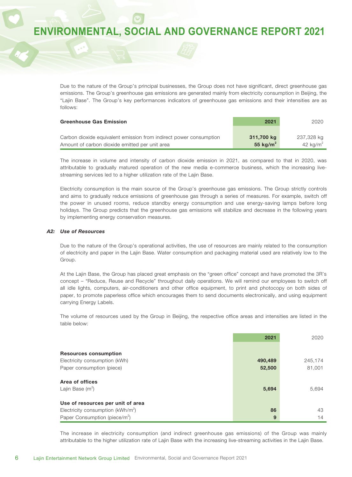Due to the nature of the Group's principal businesses, the Group does not have significant, direct greenhouse gas emissions. The Group's greenhouse gas emissions are generated mainly from electricity consumption in Beijing, the "Lajin Base". The Group's key performances indicators of greenhouse gas emissions and their intensities are as follows:

| <b>Greenhouse Gas Emission</b>                                     | 2021         | 2020         |
|--------------------------------------------------------------------|--------------|--------------|
|                                                                    |              |              |
| Carbon dioxide equivalent emission from indirect power consumption | 311,700 kg   | 237,328 kg   |
| Amount of carbon dioxide emitted per unit area                     | 55 kg/ $m^2$ | 42 kg/ $m^2$ |

The increase in volume and intensity of carbon dioxide emission in 2021, as compared to that in 2020, was attributable to gradually matured operation of the new media e-commerce business, which the increasing livestreaming services led to a higher utilization rate of the Lajin Base.

Electricity consumption is the main source of the Group's greenhouse gas emissions. The Group strictly controls and aims to gradually reduce emissions of greenhouse gas through a series of measures. For example, switch off the power in unused rooms, reduce standby energy consumption and use energy-saving lamps before long holidays. The Group predicts that the greenhouse gas emissions will stabilize and decrease in the following years by implementing energy conservation measures.

#### *A2: Use of Resources*

Due to the nature of the Group's operational activities, the use of resources are mainly related to the consumption of electricity and paper in the Lajin Base. Water consumption and packaging material used are relatively low to the Group.

At the Lajin Base, the Group has placed great emphasis on the "green office" concept and have promoted the 3R's concept – "Reduce, Reuse and Recycle" throughout daily operations. We will remind our employees to switch off all idle lights, computers, air-conditioners and other office equipment, to print and photocopy on both sides of paper, to promote paperless office which encourages them to send documents electronically, and using equipment carrying Energy Labels.

The volume of resources used by the Group in Beijing, the respective office areas and intensities are listed in the table below:

|                                           | 2021    | 2020    |
|-------------------------------------------|---------|---------|
|                                           |         |         |
| <b>Resources consumption</b>              |         |         |
| Electricity consumption (kWh)             | 490,489 | 245.174 |
| Paper consumption (piece)                 | 52,500  | 81,001  |
| Area of offices                           |         |         |
| Lajin Base $(m^2)$                        | 5,694   | 5.694   |
| Use of resources per unit of area         |         |         |
| Electricity consumption ( $kWh/m^2$ )     | 86      | 43      |
| Paper Consumption (piece/m <sup>2</sup> ) | 9       | 14      |

The increase in electricity consumption (and indirect greenhouse gas emissions) of the Group was mainly attributable to the higher utilization rate of Lajin Base with the increasing live-streaming activities in the Lajin Base.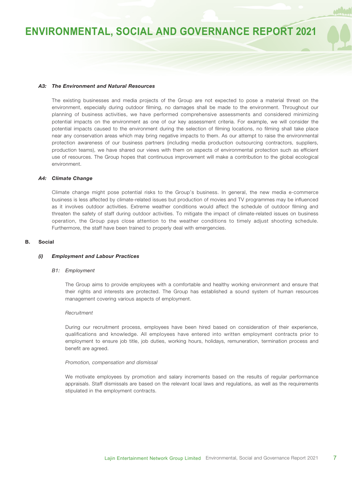#### *A3: The Environment and Natural Resources*

The existing businesses and media projects of the Group are not expected to pose a material threat on the environment, especially during outdoor filming, no damages shall be made to the environment. Throughout our planning of business activities, we have performed comprehensive assessments and considered minimizing potential impacts on the environment as one of our key assessment criteria. For example, we will consider the potential impacts caused to the environment during the selection of filming locations, no filming shall take place near any conservation areas which may bring negative impacts to them. As our attempt to raise the environmental protection awareness of our business partners (including media production outsourcing contractors, suppliers, production teams), we have shared our views with them on aspects of environmental protection such as efficient use of resources. The Group hopes that continuous improvement will make a contribution to the global ecological environment.

#### *A4: Climate Change*

Climate change might pose potential risks to the Group's business. In general, the new media e-commerce business is less affected by climate-related issues but production of movies and TV programmes may be influenced as it involves outdoor activities. Extreme weather conditions would affect the schedule of outdoor filming and threaten the safety of staff during outdoor activities. To mitigate the impact of climate-related issues on business operation, the Group pays close attention to the weather conditions to timely adjust shooting schedule. Furthermore, the staff have been trained to properly deal with emergencies.

#### **B. Social**

#### *(i) Employment and Labour Practices*

#### *B1: Employment*

The Group aims to provide employees with a comfortable and healthy working environment and ensure that their rights and interests are protected. The Group has established a sound system of human resources management covering various aspects of employment.

#### *Recruitment*

During our recruitment process, employees have been hired based on consideration of their experience, qualifications and knowledge. All employees have entered into written employment contracts prior to employment to ensure job title, job duties, working hours, holidays, remuneration, termination process and benefit are agreed.

#### *Promotion, compensation and dismissal*

We motivate employees by promotion and salary increments based on the results of regular performance appraisals. Staff dismissals are based on the relevant local laws and regulations, as well as the requirements stipulated in the employment contracts.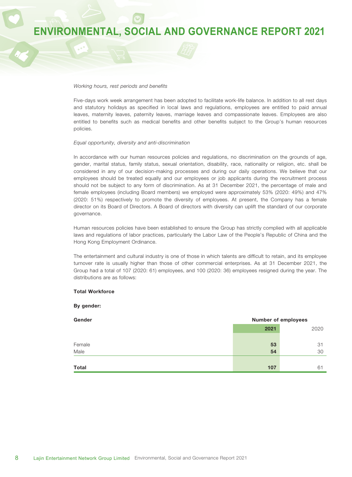#### *Working hours, rest periods and benefits*

Five-days work week arrangement has been adopted to facilitate work-life balance. In addition to all rest days and statutory holidays as specified in local laws and regulations, employees are entitled to paid annual leaves, maternity leaves, paternity leaves, marriage leaves and compassionate leaves. Employees are also entitled to benefits such as medical benefits and other benefits subject to the Group's human resources policies.

#### *Equal opportunity, diversity and anti-discrimination*

In accordance with our human resources policies and regulations, no discrimination on the grounds of age, gender, marital status, family status, sexual orientation, disability, race, nationality or religion, etc. shall be considered in any of our decision-making processes and during our daily operations. We believe that our employees should be treated equally and our employees or job applicants during the recruitment process should not be subject to any form of discrimination. As at 31 December 2021, the percentage of male and female employees (including Board members) we employed were approximately 53% (2020: 49%) and 47% (2020: 51%) respectively to promote the diversity of employees. At present, the Company has a female director on its Board of Directors. A Board of directors with diversity can uplift the standard of our corporate governance.

Human resources policies have been established to ensure the Group has strictly complied with all applicable laws and regulations of labor practices, particularly the Labor Law of the People's Republic of China and the Hong Kong Employment Ordinance.

The entertainment and cultural industry is one of those in which talents are difficult to retain, and its employee turnover rate is usually higher than those of other commercial enterprises. As at 31 December 2021, the Group had a total of 107 (2020: 61) employees, and 100 (2020: 36) employees resigned during the year. The distributions are as follows:

#### **Total Workforce**

#### **By gender:**

| Gender | <b>Number of employees</b> |      |
|--------|----------------------------|------|
|        | 2021                       | 2020 |
|        |                            |      |
| Female | 53                         | 31   |
| Male   | 54                         | 30   |
|        |                            |      |
| Total  | 107                        | 61   |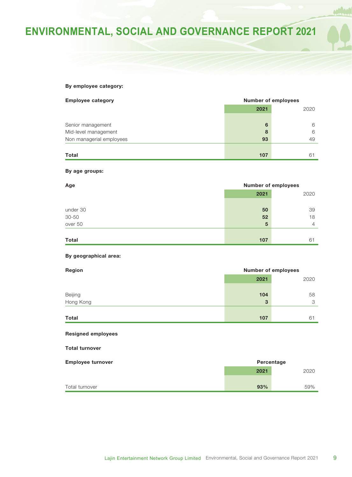### **By employee category:**

| <b>Employee category</b> | <b>Number of employees</b> |      |
|--------------------------|----------------------------|------|
|                          | 2021                       | 2020 |
|                          |                            |      |
| Senior management        | 6                          | 6    |
| Mid-level management     | 8                          | 6    |
| Non managerial employees | 93                         | 49   |
|                          |                            |      |
| <b>Total</b>             | 107                        | 61   |

#### **By age groups:**

| Age          | <b>Number of employees</b> |      |
|--------------|----------------------------|------|
|              | 2021                       | 2020 |
|              |                            |      |
| under 30     | 50                         | 39   |
| 30-50        | 52                         | 18   |
| over 50      | 5                          | 4    |
| <b>Total</b> | 107                        | 61   |
|              |                            |      |

#### **By geographical area:**

| Region       |      | <b>Number of employees</b> |
|--------------|------|----------------------------|
|              | 2021 | 2020                       |
|              |      |                            |
| Beijing      | 104  | 58                         |
| Hong Kong    | 3    | 3                          |
|              |      |                            |
| <b>Total</b> | 107  | 61                         |

#### **Resigned employees**

#### **Total turnover**

| <b>Employee turnover</b> | Percentage |      |
|--------------------------|------------|------|
|                          | 2021       | 2020 |
|                          |            |      |
| Total turnover           | 93%        | 59%  |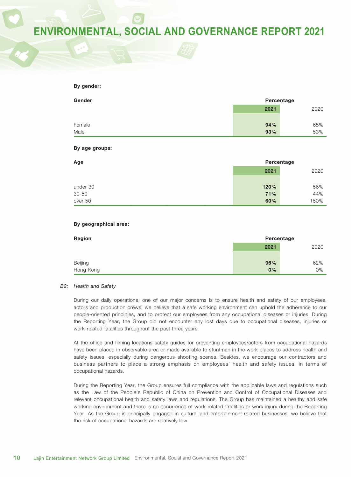#### **By gender:**

| Gender |      | Percentage |
|--------|------|------------|
|        | 2021 | 2020       |
|        |      |            |
| Female | 94%  | 65%        |
| Male   | 93%  | 53%        |

#### **By age groups:**

| Age       | Percentage |      |
|-----------|------------|------|
|           | 2021       | 2020 |
|           |            |      |
| under 30  | 120%       | 56%  |
| $30 - 50$ | 71%        | 44%  |
| over 50   | 60%        | 150% |

#### **By geographical area:**

| Region    | Percentage |      |
|-----------|------------|------|
|           | 2021       | 2020 |
|           |            |      |
| Beijing   | 96%        | 62%  |
| Hong Kong | 0%         | 0%   |

#### *B2: Health and Safety*

During our daily operations, one of our major concerns is to ensure health and safety of our employees, actors and production crews, we believe that a safe working environment can uphold the adherence to our people-oriented principles, and to protect our employees from any occupational diseases or injuries. During the Reporting Year, the Group did not encounter any lost days due to occupational diseases, injuries or work-related fatalities throughout the past three years.

At the office and filming locations safety guides for preventing employees/actors from occupational hazards have been placed in observable area or made available to stuntman in the work places to address health and safety issues, especially during dangerous shooting scenes. Besides, we encourage our contractors and business partners to place a strong emphasis on employees' health and safety issues, in terms of occupational hazards.

During the Reporting Year, the Group ensures full compliance with the applicable laws and regulations such as the Law of the People's Republic of China on Prevention and Control of Occupational Diseases and relevant occupational health and safety laws and regulations. The Group has maintained a healthy and safe working environment and there is no occurrence of work-related fatalities or work injury during the Reporting Year. As the Group is principally engaged in cultural and entertainment-related businesses, we believe that the risk of occupational hazards are relatively low.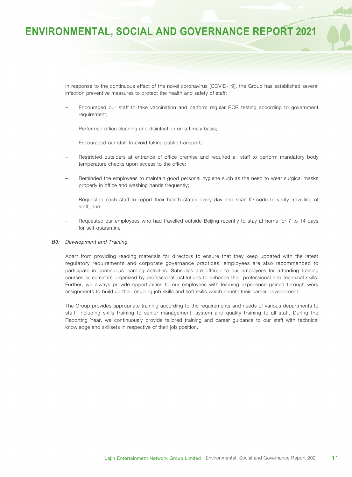In response to the continuous effect of the novel coronavirus (COVID-19), the Group has established several infection preventive measures to protect the health and safety of staff:

- Encouraged our staff to take vaccination and perform regular PCR testing according to government requirement;
- Performed office cleaning and disinfection on a timely basis;
- Encouraged our staff to avoid taking public transport;
- Restricted outsiders at entrance of office premise and required all staff to perform mandatory body temperature checks upon access to the office;
- Reminded the employees to maintain good personal hygiene such as the need to wear surgical masks properly in office and washing hands frequently;
- Requested each staff to report their health status every day and scan ID code to verify travelling of staff; and
- Requested our employees who had travelled outside Beijing recently to stay at home for 7 to 14 days for self-quarantine

#### *B3: Development and Training*

Apart from providing reading materials for directors to ensure that they keep updated with the latest regulatory requirements and corporate governance practices, employees are also recommended to participate in continuous learning activities. Subsidies are offered to our employees for attending training courses or seminars organized by professional institutions to enhance their professional and technical skills. Further, we always provide opportunities to our employees with learning experience gained through work assignments to build up their ongoing job skills and soft skills which benefit their career development.

The Group provides appropriate training according to the requirements and needs of various departments to staff, including skills training to senior management, system and quality training to all staff. During the Reporting Year, we continuously provide tailored training and career guidance to our staff with technical knowledge and skillsets in respective of their job position.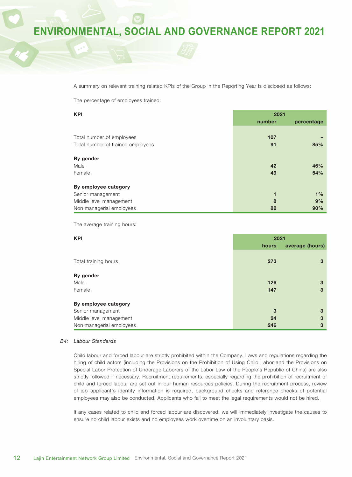A summary on relevant training related KPIs of the Group in the Reporting Year is disclosed as follows:

The percentage of employees trained:

| <b>KPI</b>                        | 2021   |            |
|-----------------------------------|--------|------------|
|                                   | number | percentage |
|                                   |        |            |
| Total number of employees         | 107    |            |
| Total number of trained employees | 91     | 85%        |
| By gender                         |        |            |
| Male                              | 42     | 46%        |
| Female                            | 49     | 54%        |
|                                   |        |            |
| By employee category              |        |            |
| Senior management                 | 1      | 1%         |
| Middle level management           | 8      | 9%         |
| Non managerial employees          | 82     | 90%        |

The average training hours:

| <b>KPI</b>               | 2021  |                 |
|--------------------------|-------|-----------------|
|                          | hours | average (hours) |
| Total training hours     | 273   | 3               |
| By gender                |       |                 |
| Male                     | 126   | 3               |
| Female                   | 147   | 3               |
| By employee category     |       |                 |
| Senior management        | 3     | 3               |
| Middle level management  | 24    | 3               |
| Non managerial employees | 246   | 3               |

#### *B4: Labour Standards*

Child labour and forced labour are strictly prohibited within the Company. Laws and regulations regarding the hiring of child actors (including the Provisions on the Prohibition of Using Child Labor and the Provisions on Special Labor Protection of Underage Laborers of the Labor Law of the People's Republic of China) are also strictly followed if necessary. Recruitment requirements, especially regarding the prohibition of recruitment of child and forced labour are set out in our human resources policies. During the recruitment process, review of job applicant's identity information is required, background checks and reference checks of potential employees may also be conducted. Applicants who fail to meet the legal requirements would not be hired.

If any cases related to child and forced labour are discovered, we will immediately investigate the causes to ensure no child labour exists and no employees work overtime on an involuntary basis.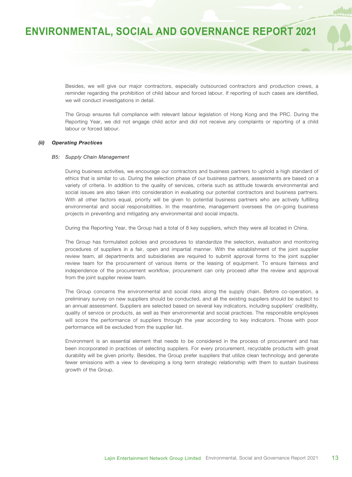Besides, we will give our major contractors, especially outsourced contractors and production crews, a reminder regarding the prohibition of child labour and forced labour. If reporting of such cases are identified, we will conduct investigations in detail.

The Group ensures full compliance with relevant labour legislation of Hong Kong and the PRC. During the Reporting Year, we did not engage child actor and did not receive any complaints or reporting of a child labour or forced labour.

#### *(ii) Operating Practices*

#### *B5: Supply Chain Management*

During business activities, we encourage our contractors and business partners to uphold a high standard of ethics that is similar to us. During the selection phase of our business partners, assessments are based on a variety of criteria. In addition to the quality of services, criteria such as attitude towards environmental and social issues are also taken into consideration in evaluating our potential contractors and business partners. With all other factors equal, priority will be given to potential business partners who are actively fulfilling environmental and social responsibilities. In the meantime, management oversees the on-going business projects in preventing and mitigating any environmental and social impacts.

During the Reporting Year, the Group had a total of 8 key suppliers, which they were all located in China.

The Group has formulated policies and procedures to standardize the selection, evaluation and monitoring procedures of suppliers in a fair, open and impartial manner. With the establishment of the joint supplier review team, all departments and subsidiaries are required to submit approval forms to the joint supplier review team for the procurement of various items or the leasing of equipment. To ensure fairness and independence of the procurement workflow, procurement can only proceed after the review and approval from the joint supplier review team.

The Group concerns the environmental and social risks along the supply chain. Before co-operation, a preliminary survey on new suppliers should be conducted, and all the existing suppliers should be subject to an annual assessment. Suppliers are selected based on several key indicators, including suppliers' credibility, quality of service or products, as well as their environmental and social practices. The responsible employees will score the performance of suppliers through the year according to key indicators. Those with poor performance will be excluded from the supplier list.

Environment is an essential element that needs to be considered in the process of procurement and has been incorporated in practices of selecting suppliers. For every procurement, recyclable products with great durability will be given priority. Besides, the Group prefer suppliers that utilize clean technology and generate fewer emissions with a view to developing a long term strategic relationship with them to sustain business growth of the Group.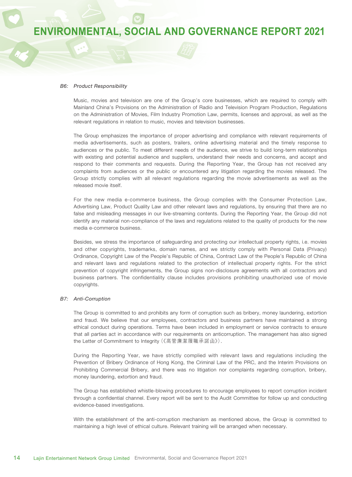#### *B6: Product Responsibility*

Music, movies and television are one of the Group's core businesses, which are required to comply with Mainland China's Provisions on the Administration of Radio and Television Program Production, Regulations on the Administration of Movies, Film Industry Promotion Law, permits, licenses and approval, as well as the relevant regulations in relation to music, movies and television businesses.

The Group emphasizes the importance of proper advertising and compliance with relevant requirements of media advertisements, such as posters, trailers, online advertising material and the timely response to audiences or the public. To meet different needs of the audience, we strive to build long-term relationships with existing and potential audience and suppliers, understand their needs and concerns, and accept and respond to their comments and requests. During the Reporting Year, the Group has not received any complaints from audiences or the public or encountered any litigation regarding the movies released. The Group strictly complies with all relevant regulations regarding the movie advertisements as well as the released movie itself.

For the new media e-commerce business, the Group complies with the Consumer Protection Law, Advertising Law, Product Quality Law and other relevant laws and regulations, by ensuring that there are no false and misleading messages in our live-streaming contents. During the Reporting Year, the Group did not identify any material non-compliance of the laws and regulations related to the quality of products for the new media e-commerce business.

Besides, we stress the importance of safeguarding and protecting our intellectual property rights, i.e. movies and other copyrights, trademarks, domain names, and we strictly comply with Personal Data (Privacy) Ordinance, Copyright Law of the People's Republic of China, Contract Law of the People's Republic of China and relevant laws and regulations related to the protection of intellectual property rights. For the strict prevention of copyright infringements, the Group signs non-disclosure agreements with all contractors and business partners. The confidentiality clause includes provisions prohibiting unauthorized use of movie copyrights.

#### *B7: Anti-Corruption*

The Group is committed to and prohibits any form of corruption such as bribery, money laundering, extortion and fraud. We believe that our employees, contractors and business partners have maintained a strong ethical conduct during operations. Terms have been included in employment or service contracts to ensure that all parties act in accordance with our requirements on anticorruption. The management has also signed the Letter of Commitment to Integrity (《高管廉潔履職承諾函》).

During the Reporting Year, we have strictly complied with relevant laws and regulations including the Prevention of Bribery Ordinance of Hong Kong, the Criminal Law of the PRC, and the Interim Provisions on Prohibiting Commercial Bribery, and there was no litigation nor complaints regarding corruption, bribery, money laundering, extortion and fraud.

The Group has established whistle-blowing procedures to encourage employees to report corruption incident through a confidential channel. Every report will be sent to the Audit Committee for follow up and conducting evidence-based investigations.

With the establishment of the anti-corruption mechanism as mentioned above, the Group is committed to maintaining a high level of ethical culture. Relevant training will be arranged when necessary.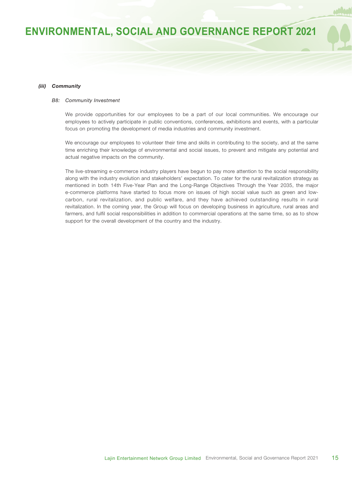#### *(iii) Community*

#### *B8: Community Investment*

We provide opportunities for our employees to be a part of our local communities. We encourage our employees to actively participate in public conventions, conferences, exhibitions and events, with a particular focus on promoting the development of media industries and community investment.

We encourage our employees to volunteer their time and skills in contributing to the society, and at the same time enriching their knowledge of environmental and social issues, to prevent and mitigate any potential and actual negative impacts on the community.

The live-streaming e-commerce industry players have begun to pay more attention to the social responsibility along with the industry evolution and stakeholders' expectation. To cater for the rural revitalization strategy as mentioned in both 14th Five-Year Plan and the Long-Range Objectives Through the Year 2035, the major e-commerce platforms have started to focus more on issues of high social value such as green and lowcarbon, rural revitalization, and public welfare, and they have achieved outstanding results in rural revitalization. In the coming year, the Group will focus on developing business in agriculture, rural areas and farmers, and fulfil social responsibilities in addition to commercial operations at the same time, so as to show support for the overall development of the country and the industry.